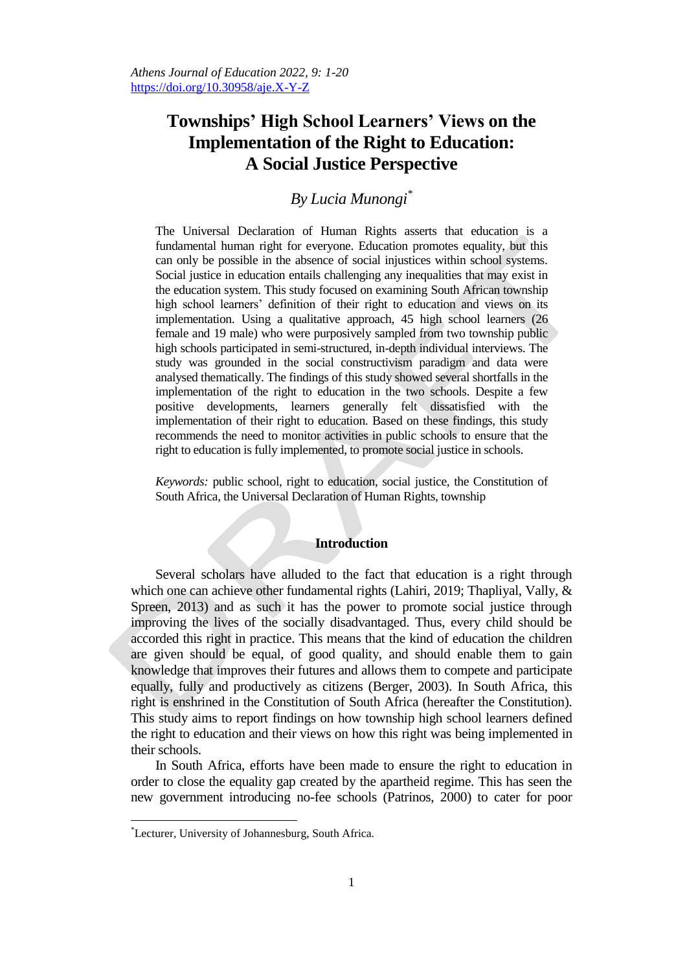# **Townships' High School Learners' Views on the Implementation of the Right to Education: A Social Justice Perspective**

# *By Lucia Munongi\**

The Universal Declaration of Human Rights asserts that education is a fundamental human right for everyone. Education promotes equality, but this can only be possible in the absence of social injustices within school systems. Social justice in education entails challenging any inequalities that may exist in the education system. This study focused on examining South African township high school learners' definition of their right to education and views on its implementation. Using a qualitative approach, 45 high school learners (26 female and 19 male) who were purposively sampled from two township public high schools participated in semi-structured, in-depth individual interviews. The study was grounded in the social constructivism paradigm and data were analysed thematically. The findings of this study showed several shortfalls in the implementation of the right to education in the two schools. Despite a few positive developments, learners generally felt dissatisfied with the implementation of their right to education. Based on these findings, this study recommends the need to monitor activities in public schools to ensure that the right to education is fully implemented, to promote social justice in schools.

*Keywords:* public school, right to education, social justice, the Constitution of South Africa, the Universal Declaration of Human Rights, township

# **Introduction**

Several scholars have alluded to the fact that education is a right through which one can achieve other fundamental rights (Lahiri, 2019; Thapliyal, Vally, & Spreen, 2013) and as such it has the power to promote social justice through improving the lives of the socially disadvantaged. Thus, every child should be accorded this right in practice. This means that the kind of education the children are given should be equal, of good quality, and should enable them to gain knowledge that improves their futures and allows them to compete and participate equally, fully and productively as citizens (Berger, 2003). In South Africa, this right is enshrined in the Constitution of South Africa (hereafter the Constitution). This study aims to report findings on how township high school learners defined the right to education and their views on how this right was being implemented in their schools.

In South Africa, efforts have been made to ensure the right to education in order to close the equality gap created by the apartheid regime. This has seen the new government introducing no-fee schools (Patrinos, 2000) to cater for poor

 $\overline{a}$ 

<sup>\*</sup>Lecturer, University of Johannesburg, South Africa.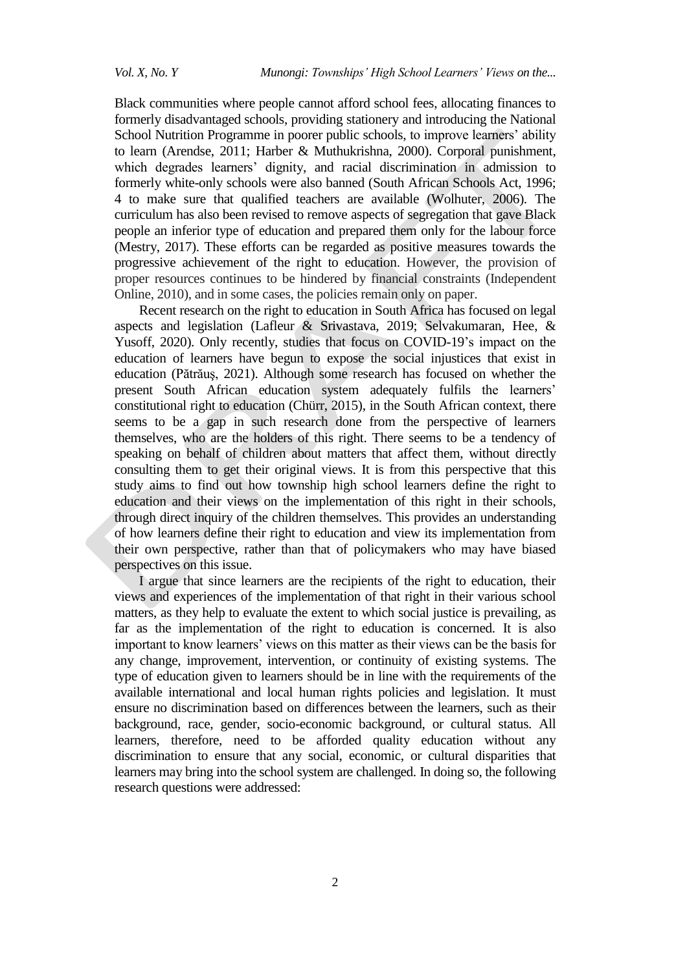Black communities where people cannot afford school fees, allocating finances to formerly disadvantaged schools, providing stationery and introducing the National School Nutrition Programme in poorer public schools, to improve learners' ability to learn (Arendse, 2011; Harber & Muthukrishna, 2000). Corporal punishment, which degrades learners' dignity, and racial discrimination in admission to formerly white-only schools were also banned (South African Schools Act, 1996; 4 to make sure that qualified teachers are available (Wolhuter, 2006). The curriculum has also been revised to remove aspects of segregation that gave Black people an inferior type of education and prepared them only for the labour force (Mestry, 2017). These efforts can be regarded as positive measures towards the progressive achievement of the right to education. However, the provision of proper resources continues to be hindered by financial constraints (Independent Online, 2010), and in some cases, the policies remain only on paper.

Recent research on the right to education in South Africa has focused on legal aspects and legislation (Lafleur & Srivastava, 2019; Selvakumaran, Hee, & Yusoff, 2020). Only recently, studies that focus on COVID-19's impact on the education of learners have begun to expose the social injustices that exist in education (Pătrăuş, 2021). Although some research has focused on whether the present South African education system adequately fulfils the learners' constitutional right to education (Chürr, 2015), in the South African context, there seems to be a gap in such research done from the perspective of learners themselves, who are the holders of this right. There seems to be a tendency of speaking on behalf of children about matters that affect them, without directly consulting them to get their original views. It is from this perspective that this study aims to find out how township high school learners define the right to education and their views on the implementation of this right in their schools, through direct inquiry of the children themselves. This provides an understanding of how learners define their right to education and view its implementation from their own perspective, rather than that of policymakers who may have biased perspectives on this issue.

I argue that since learners are the recipients of the right to education, their views and experiences of the implementation of that right in their various school matters, as they help to evaluate the extent to which social justice is prevailing, as far as the implementation of the right to education is concerned. It is also important to know learners' views on this matter as their views can be the basis for any change, improvement, intervention, or continuity of existing systems. The type of education given to learners should be in line with the requirements of the available international and local human rights policies and legislation. It must ensure no discrimination based on differences between the learners, such as their background, race, gender, socio-economic background, or cultural status. All learners, therefore, need to be afforded quality education without any discrimination to ensure that any social, economic, or cultural disparities that learners may bring into the school system are challenged. In doing so, the following research questions were addressed: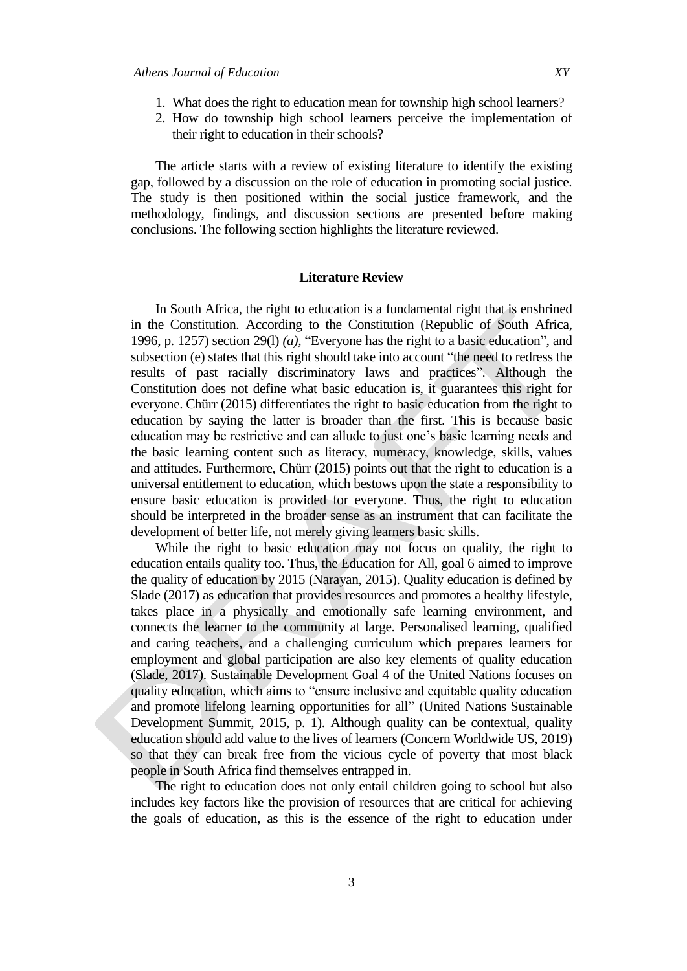- 1. What does the right to education mean for township high school learners?
- 2. How do township high school learners perceive the implementation of their right to education in their schools?

The article starts with a review of existing literature to identify the existing gap, followed by a discussion on the role of education in promoting social justice. The study is then positioned within the social justice framework, and the methodology, findings, and discussion sections are presented before making conclusions. The following section highlights the literature reviewed.

#### **Literature Review**

In South Africa, the right to education is a fundamental right that is enshrined in the Constitution. According to the Constitution (Republic of South Africa, 1996, p. 1257) section 29(l) *(a),* "Everyone has the right to a basic education", and subsection (e) states that this right should take into account "the need to redress the results of past racially discriminatory laws and practices". Although the Constitution does not define what basic education is, it guarantees this right for everyone. Chürr (2015) differentiates the right to basic education from the right to education by saying the latter is broader than the first. This is because basic education may be restrictive and can allude to just one"s basic learning needs and the basic learning content such as literacy, numeracy, knowledge, skills, values and attitudes. Furthermore, Chürr (2015) points out that the right to education is a universal entitlement to education, which bestows upon the state a responsibility to ensure basic education is provided for everyone. Thus, the right to education should be interpreted in the broader sense as an instrument that can facilitate the development of better life, not merely giving learners basic skills.

While the right to basic education may not focus on quality, the right to education entails quality too. Thus, the Education for All, goal 6 aimed to improve the quality of education by 2015 (Narayan, 2015). Quality education is defined by Slade (2017) as education that provides resources and promotes a healthy lifestyle, takes place in a physically and emotionally safe learning environment, and connects the learner to the community at large. Personalised learning, qualified and caring teachers, and a challenging curriculum which prepares learners for employment and global participation are also key elements of quality education (Slade, 2017). Sustainable Development Goal 4 of the United Nations focuses on quality education, which aims to "ensure inclusive and equitable quality education and promote lifelong learning opportunities for all" (United Nations Sustainable Development Summit, 2015, p. 1). Although quality can be contextual, quality education should add value to the lives of learners (Concern Worldwide US, 2019) so that they can break free from the vicious cycle of poverty that most black people in South Africa find themselves entrapped in.

The right to education does not only entail children going to school but also includes key factors like the provision of resources that are critical for achieving the goals of education, as this is the essence of the right to education under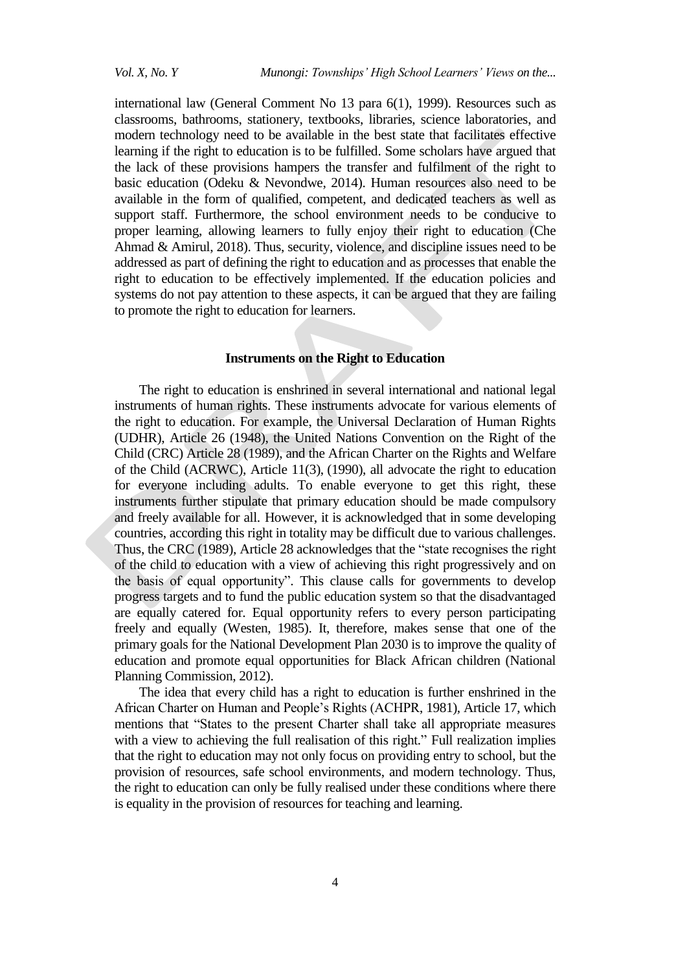international law (General Comment No 13 para 6(1), 1999). Resources such as classrooms, bathrooms, stationery, textbooks, libraries, science laboratories, and modern technology need to be available in the best state that facilitates effective learning if the right to education is to be fulfilled. Some scholars have argued that the lack of these provisions hampers the transfer and fulfilment of the right to basic education (Odeku & Nevondwe, 2014). Human resources also need to be available in the form of qualified, competent, and dedicated teachers as well as support staff. Furthermore, the school environment needs to be conducive to proper learning, allowing learners to fully enjoy their right to education (Che Ahmad & Amirul, 2018). Thus, security, violence, and discipline issues need to be addressed as part of defining the right to education and as processes that enable the right to education to be effectively implemented. If the education policies and systems do not pay attention to these aspects, it can be argued that they are failing to promote the right to education for learners.

# **Instruments on the Right to Education**

The right to education is enshrined in several international and national legal instruments of human rights. These instruments advocate for various elements of the right to education. For example, the Universal Declaration of Human Rights (UDHR), Article 26 (1948), the United Nations Convention on the Right of the Child (CRC) Article 28 (1989), and the African Charter on the Rights and Welfare of the Child (ACRWC), Article 11(3), (1990), all advocate the right to education for everyone including adults. To enable everyone to get this right, these instruments further stipulate that primary education should be made compulsory and freely available for all. However, it is acknowledged that in some developing countries, according this right in totality may be difficult due to various challenges. Thus, the CRC (1989), Article 28 acknowledges that the "state recognises the right of the child to education with a view of achieving this right progressively and on the basis of equal opportunity". This clause calls for governments to develop progress targets and to fund the public education system so that the disadvantaged are equally catered for. Equal opportunity refers to every person participating freely and equally (Westen, 1985). It, therefore, makes sense that one of the primary goals for the National Development Plan 2030 is to improve the quality of education and promote equal opportunities for Black African children (National Planning Commission, 2012).

The idea that every child has a right to education is further enshrined in the African Charter on Human and People"s Rights (ACHPR, 1981), Article 17, which mentions that "States to the present Charter shall take all appropriate measures with a view to achieving the full realisation of this right." Full realization implies that the right to education may not only focus on providing entry to school, but the provision of resources, safe school environments, and modern technology. Thus, the right to education can only be fully realised under these conditions where there is equality in the provision of resources for teaching and learning.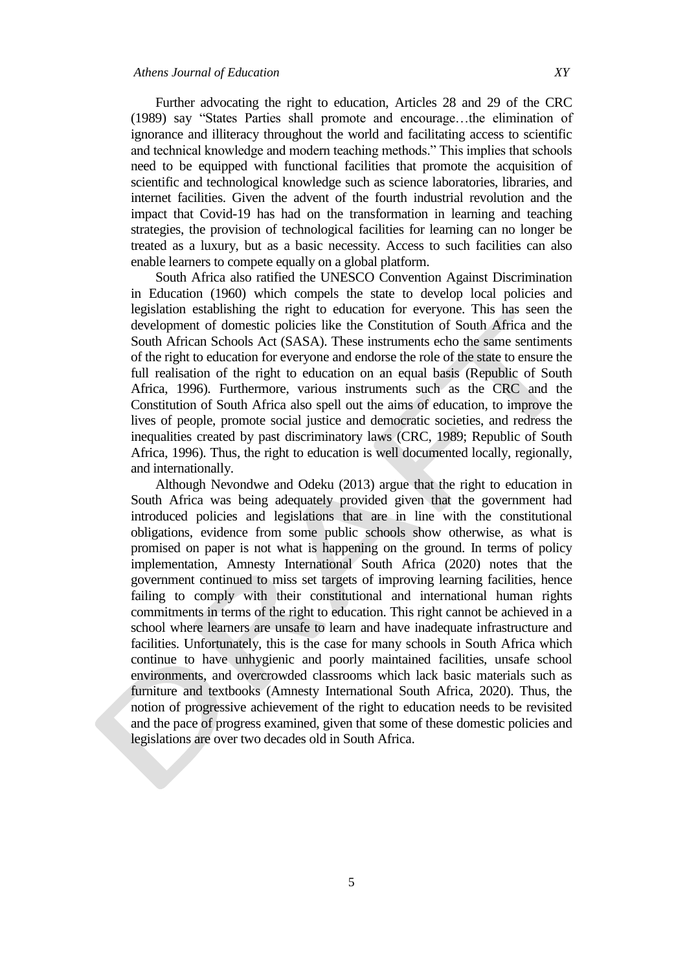Further advocating the right to education, Articles 28 and 29 of the CRC (1989) say "States Parties shall promote and encourage…the elimination of

ignorance and illiteracy throughout the world and facilitating access to scientific and technical knowledge and modern teaching methods." This implies that schools need to be equipped with functional facilities that promote the acquisition of scientific and technological knowledge such as science laboratories, libraries, and internet facilities. Given the advent of the fourth industrial revolution and the impact that Covid-19 has had on the transformation in learning and teaching strategies, the provision of technological facilities for learning can no longer be treated as a luxury, but as a basic necessity. Access to such facilities can also enable learners to compete equally on a global platform.

South Africa also ratified the UNESCO Convention Against Discrimination in Education (1960) which compels the state to develop local policies and legislation establishing the right to education for everyone. This has seen the development of domestic policies like the Constitution of South Africa and the South African Schools Act (SASA). These instruments echo the same sentiments of the right to education for everyone and endorse the role of the state to ensure the full realisation of the right to education on an equal basis (Republic of South Africa, 1996). Furthermore, various instruments such as the CRC and the Constitution of South Africa also spell out the aims of education, to improve the lives of people, promote social justice and democratic societies, and redress the inequalities created by past discriminatory laws (CRC, 1989; Republic of South Africa, 1996). Thus, the right to education is well documented locally, regionally, and internationally.

Although Nevondwe and Odeku (2013) argue that the right to education in South Africa was being adequately provided given that the government had introduced policies and legislations that are in line with the constitutional obligations, evidence from some public schools show otherwise, as what is promised on paper is not what is happening on the ground. In terms of policy implementation, Amnesty International South Africa (2020) notes that the government continued to miss set targets of improving learning facilities, hence failing to comply with their constitutional and international human rights commitments in terms of the right to education. This right cannot be achieved in a school where learners are unsafe to learn and have inadequate infrastructure and facilities. Unfortunately, this is the case for many schools in South Africa which continue to have unhygienic and poorly maintained facilities, unsafe school environments, and overcrowded classrooms which lack basic materials such as furniture and textbooks (Amnesty International South Africa, 2020). Thus, the notion of progressive achievement of the right to education needs to be revisited and the pace of progress examined, given that some of these domestic policies and legislations are over two decades old in South Africa.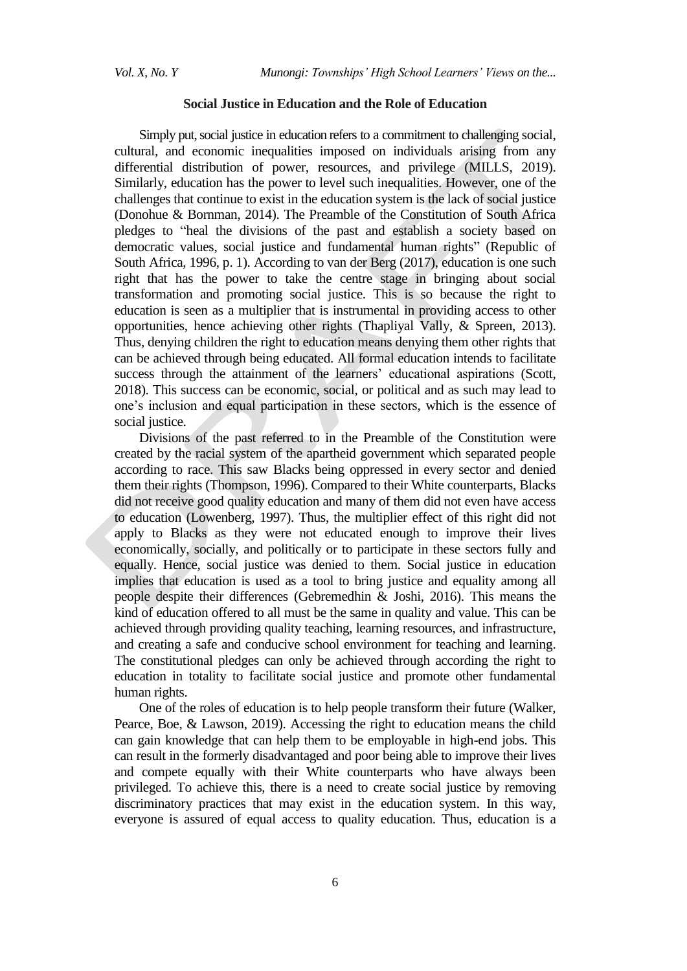### **Social Justice in Education and the Role of Education**

Simply put, social justice in education refers to a commitment to challenging social, cultural, and economic inequalities imposed on individuals arising from any differential distribution of power, resources, and privilege (MILLS, 2019). Similarly, education has the power to level such inequalities. However, one of the challenges that continue to exist in the education system is the lack of social justice (Donohue & Bornman, 2014). The Preamble of the Constitution of South Africa pledges to "heal the divisions of the past and establish a society based on democratic values, social justice and fundamental human rights" (Republic of South Africa, 1996, p. 1). According to van der Berg (2017), education is one such right that has the power to take the centre stage in bringing about social transformation and promoting social justice. This is so because the right to education is seen as a multiplier that is instrumental in providing access to other opportunities, hence achieving other rights (Thapliyal Vally, & Spreen, 2013). Thus, denying children the right to education means denying them other rights that can be achieved through being educated. All formal education intends to facilitate success through the attainment of the learners' educational aspirations (Scott, 2018). This success can be economic, social, or political and as such may lead to one"s inclusion and equal participation in these sectors, which is the essence of social justice.

Divisions of the past referred to in the Preamble of the Constitution were created by the racial system of the apartheid government which separated people according to race. This saw Blacks being oppressed in every sector and denied them their rights (Thompson, 1996). Compared to their White counterparts, Blacks did not receive good quality education and many of them did not even have access to education (Lowenberg, 1997). Thus, the multiplier effect of this right did not apply to Blacks as they were not educated enough to improve their lives economically, socially, and politically or to participate in these sectors fully and equally. Hence, social justice was denied to them. Social justice in education implies that education is used as a tool to bring justice and equality among all people despite their differences (Gebremedhin & Joshi, 2016). This means the kind of education offered to all must be the same in quality and value. This can be achieved through providing quality teaching, learning resources, and infrastructure, and creating a safe and conducive school environment for teaching and learning. The constitutional pledges can only be achieved through according the right to education in totality to facilitate social justice and promote other fundamental human rights.

One of the roles of education is to help people transform their future (Walker, Pearce, Boe, & Lawson, 2019). Accessing the right to education means the child can gain knowledge that can help them to be employable in high-end jobs. This can result in the formerly disadvantaged and poor being able to improve their lives and compete equally with their White counterparts who have always been privileged. To achieve this, there is a need to create social justice by removing discriminatory practices that may exist in the education system. In this way, everyone is assured of equal access to quality education. Thus, education is a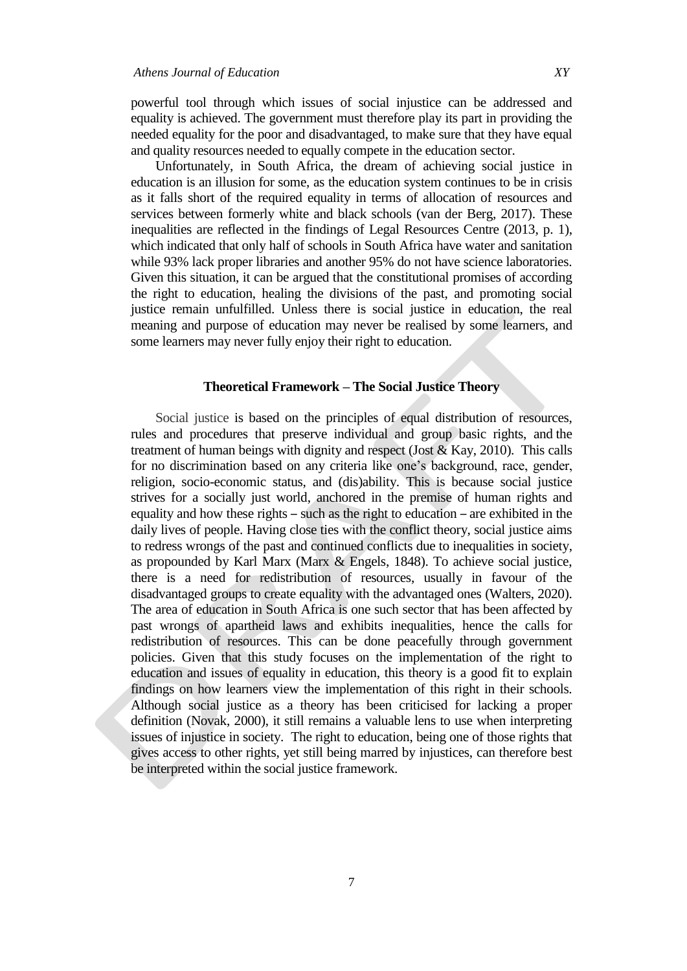powerful tool through which issues of social injustice can be addressed and equality is achieved. The government must therefore play its part in providing the needed equality for the poor and disadvantaged, to make sure that they have equal and quality resources needed to equally compete in the education sector.

Unfortunately, in South Africa, the dream of achieving social justice in education is an illusion for some, as the education system continues to be in crisis as it falls short of the required equality in terms of allocation of resources and services between formerly white and black schools (van der Berg, 2017). These inequalities are reflected in the findings of Legal Resources Centre (2013, p. 1), which indicated that only half of schools in South Africa have water and sanitation while 93% lack proper libraries and another 95% do not have science laboratories. Given this situation, it can be argued that the constitutional promises of according the right to education, healing the divisions of the past, and promoting social justice remain unfulfilled. Unless there is social justice in education, the real meaning and purpose of education may never be realised by some learners, and some learners may never fully enjoy their right to education.

#### **Theoretical Framework – The Social Justice Theory**

Social justice is based on the principles of equal distribution of resources, rules and procedures that preserve individual and group basic rights, and the treatment of human beings with dignity and respect (Jost  $\&$  Kay, 2010). This calls for no discrimination based on any criteria like one"s background, race, gender, religion, socio-economic status, and (dis)ability. This is because social justice strives for a socially just world, anchored in the premise of human rights and equality and how these rights – such as the right to education – are exhibited in the daily lives of people. Having close ties with the conflict theory, social justice aims to redress wrongs of the past and continued conflicts due to inequalities in society, as propounded by Karl Marx (Marx & Engels, 1848). To achieve social justice, there is a need for redistribution of resources, usually in favour of the disadvantaged groups to create equality with the advantaged ones (Walters, 2020). The area of education in South Africa is one such sector that has been affected by past wrongs of apartheid laws and exhibits inequalities, hence the calls for redistribution of resources. This can be done peacefully through government policies. Given that this study focuses on the implementation of the right to education and issues of equality in education, this theory is a good fit to explain findings on how learners view the implementation of this right in their schools. Although social justice as a theory has been criticised for lacking a proper definition (Novak, 2000), it still remains a valuable lens to use when interpreting issues of injustice in society. The right to education, being one of those rights that gives access to other rights, yet still being marred by injustices, can therefore best be interpreted within the social justice framework.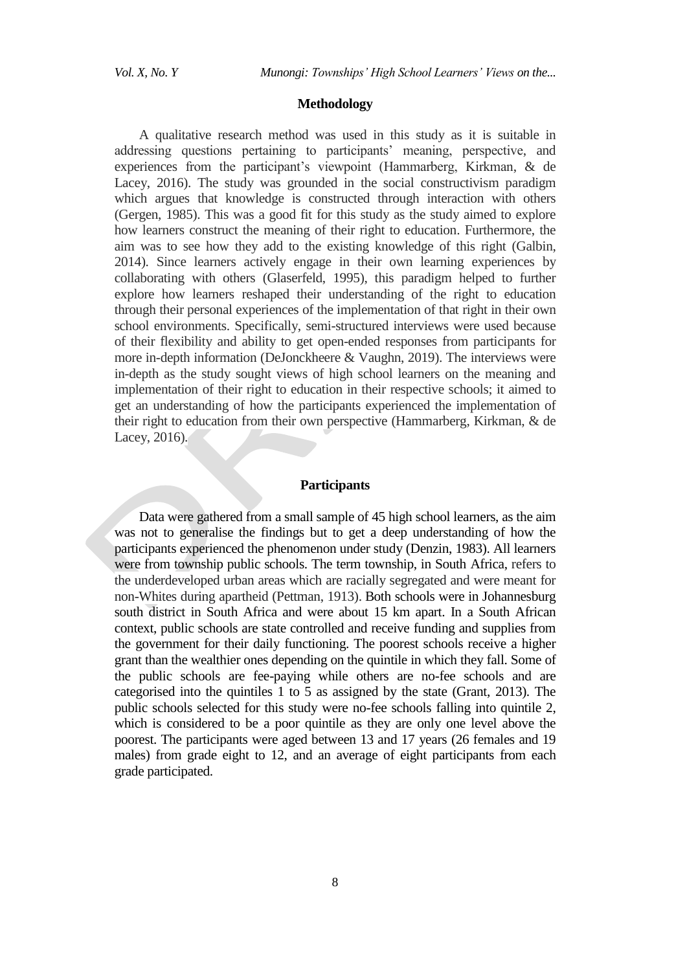#### **Methodology**

A qualitative research method was used in this study as it is suitable in addressing questions pertaining to participants' meaning, perspective, and experiences from the participant"s viewpoint (Hammarberg, Kirkman, & de Lacey, 2016). The study was grounded in the social constructivism paradigm which argues that knowledge is constructed through interaction with others (Gergen, 1985). This was a good fit for this study as the study aimed to explore how learners construct the meaning of their right to education. Furthermore, the aim was to see how they add to the existing knowledge of this right (Galbin, 2014). Since learners actively engage in their own learning experiences by collaborating with others (Glaserfeld, 1995), this paradigm helped to further explore how learners reshaped their understanding of the right to education through their personal experiences of the implementation of that right in their own school environments. Specifically, semi-structured interviews were used because of their flexibility and ability to get open-ended responses from participants for more in-depth information (DeJonckheere & Vaughn, 2019). The interviews were in-depth as the study sought views of high school learners on the meaning and implementation of their right to education in their respective schools; it aimed to get an understanding of how the participants experienced the implementation of their right to education from their own perspective (Hammarberg, Kirkman, & de Lacey, 2016).

# **Participants**

Data were gathered from a small sample of 45 high school learners, as the aim was not to generalise the findings but to get a deep understanding of how the participants experienced the phenomenon under study (Denzin, 1983). All learners were from township public schools. The term township, in South Africa, refers to the underdeveloped urban areas which are racially segregated and were meant for non-Whites during apartheid (Pettman, 1913). Both schools were in Johannesburg south district in South Africa and were about 15 km apart. In a South African context, public schools are state controlled and receive funding and supplies from the government for their daily functioning. The poorest schools receive a higher grant than the wealthier ones depending on the quintile in which they fall. Some of the public schools are fee-paying while others are no-fee schools and are categorised into the quintiles 1 to 5 as assigned by the state (Grant, 2013). The public schools selected for this study were no-fee schools falling into quintile 2, which is considered to be a poor quintile as they are only one level above the poorest. The participants were aged between 13 and 17 years (26 females and 19 males) from grade eight to 12, and an average of eight participants from each grade participated.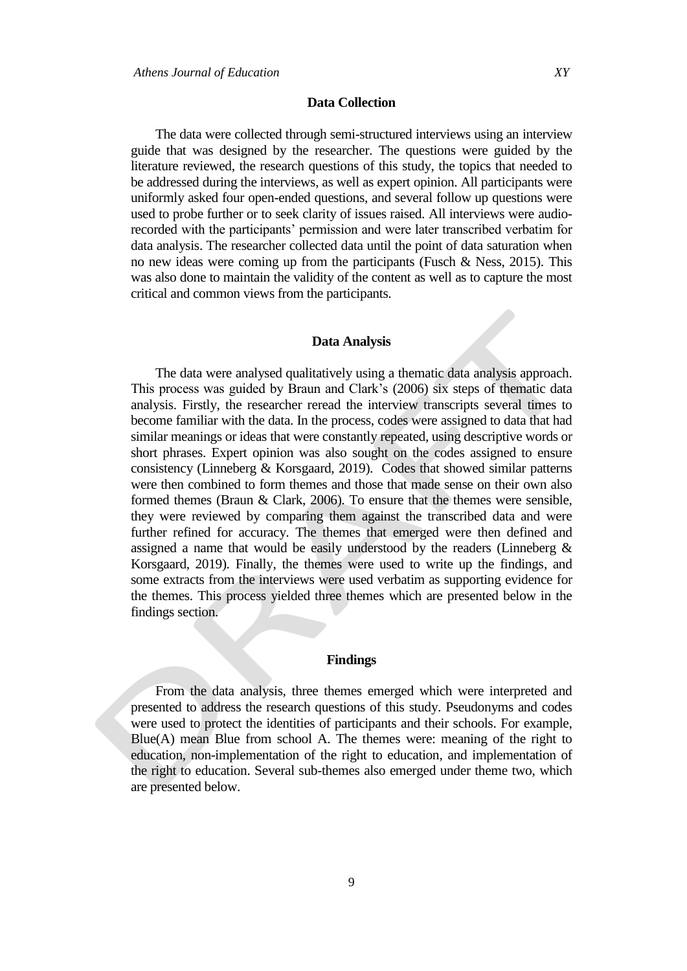#### **Data Collection**

The data were collected through semi-structured interviews using an interview guide that was designed by the researcher. The questions were guided by the literature reviewed, the research questions of this study, the topics that needed to be addressed during the interviews, as well as expert opinion. All participants were uniformly asked four open-ended questions, and several follow up questions were used to probe further or to seek clarity of issues raised. All interviews were audiorecorded with the participants' permission and were later transcribed verbatim for data analysis. The researcher collected data until the point of data saturation when no new ideas were coming up from the participants (Fusch  $\&$  Ness, 2015). This was also done to maintain the validity of the content as well as to capture the most critical and common views from the participants.

# **Data Analysis**

The data were analysed qualitatively using a thematic data analysis approach. This process was guided by Braun and Clark"s (2006) six steps of thematic data analysis. Firstly, the researcher reread the interview transcripts several times to become familiar with the data. In the process, codes were assigned to data that had similar meanings or ideas that were constantly repeated, using descriptive words or short phrases. Expert opinion was also sought on the codes assigned to ensure consistency (Linneberg & Korsgaard, 2019). Codes that showed similar patterns were then combined to form themes and those that made sense on their own also formed themes (Braun & Clark, 2006). To ensure that the themes were sensible, they were reviewed by comparing them against the transcribed data and were further refined for accuracy. The themes that emerged were then defined and assigned a name that would be easily understood by the readers (Linneberg & Korsgaard, 2019). Finally, the themes were used to write up the findings, and some extracts from the interviews were used verbatim as supporting evidence for the themes. This process yielded three themes which are presented below in the findings section.

#### **Findings**

From the data analysis, three themes emerged which were interpreted and presented to address the research questions of this study. Pseudonyms and codes were used to protect the identities of participants and their schools. For example,  $Blue(A)$  mean Blue from school A. The themes were: meaning of the right to education, non-implementation of the right to education, and implementation of the right to education. Several sub-themes also emerged under theme two, which are presented below.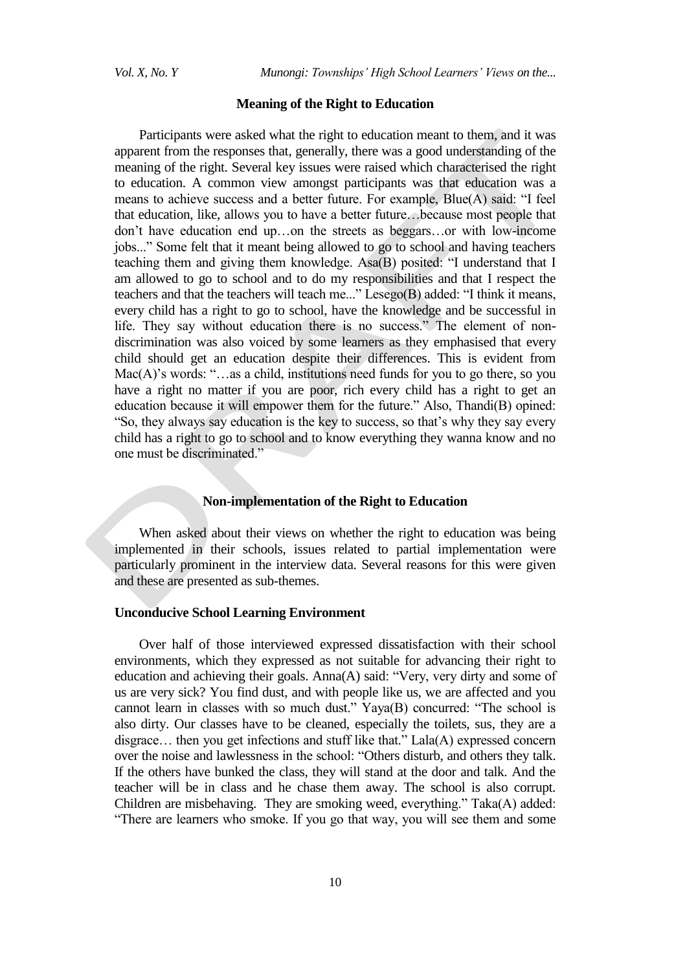*Vol. X, No. Y Munongi: Townships' High School Learners' Views on the...* 

#### **Meaning of the Right to Education**

Participants were asked what the right to education meant to them, and it was apparent from the responses that, generally, there was a good understanding of the meaning of the right. Several key issues were raised which characterised the right to education. A common view amongst participants was that education was a means to achieve success and a better future. For example, Blue(A) said: "I feel that education, like, allows you to have a better future…because most people that don"t have education end up…on the streets as beggars…or with low-income jobs..." Some felt that it meant being allowed to go to school and having teachers teaching them and giving them knowledge. Asa(B) posited: "I understand that I am allowed to go to school and to do my responsibilities and that I respect the teachers and that the teachers will teach me..." Lesego(B) added: "I think it means, every child has a right to go to school, have the knowledge and be successful in life. They say without education there is no success." The element of nondiscrimination was also voiced by some learners as they emphasised that every child should get an education despite their differences. This is evident from Mac(A)'s words: "...as a child, institutions need funds for you to go there, so you have a right no matter if you are poor, rich every child has a right to get an education because it will empower them for the future." Also, Thandi(B) opined: "So, they always say education is the key to success, so that"s why they say every child has a right to go to school and to know everything they wanna know and no one must be discriminated."

# **Non-implementation of the Right to Education**

When asked about their views on whether the right to education was being implemented in their schools, issues related to partial implementation were particularly prominent in the interview data. Several reasons for this were given and these are presented as sub-themes.

# **Unconducive School Learning Environment**

Over half of those interviewed expressed dissatisfaction with their school environments, which they expressed as not suitable for advancing their right to education and achieving their goals. Anna(A) said: "Very, very dirty and some of us are very sick? You find dust, and with people like us, we are affected and you cannot learn in classes with so much dust." Yaya(B) concurred: "The school is also dirty. Our classes have to be cleaned, especially the toilets, sus, they are a disgrace… then you get infections and stuff like that." Lala(A) expressed concern over the noise and lawlessness in the school: "Others disturb, and others they talk. If the others have bunked the class, they will stand at the door and talk. And the teacher will be in class and he chase them away. The school is also corrupt. Children are misbehaving. They are smoking weed, everything." Taka(A) added: "There are learners who smoke. If you go that way, you will see them and some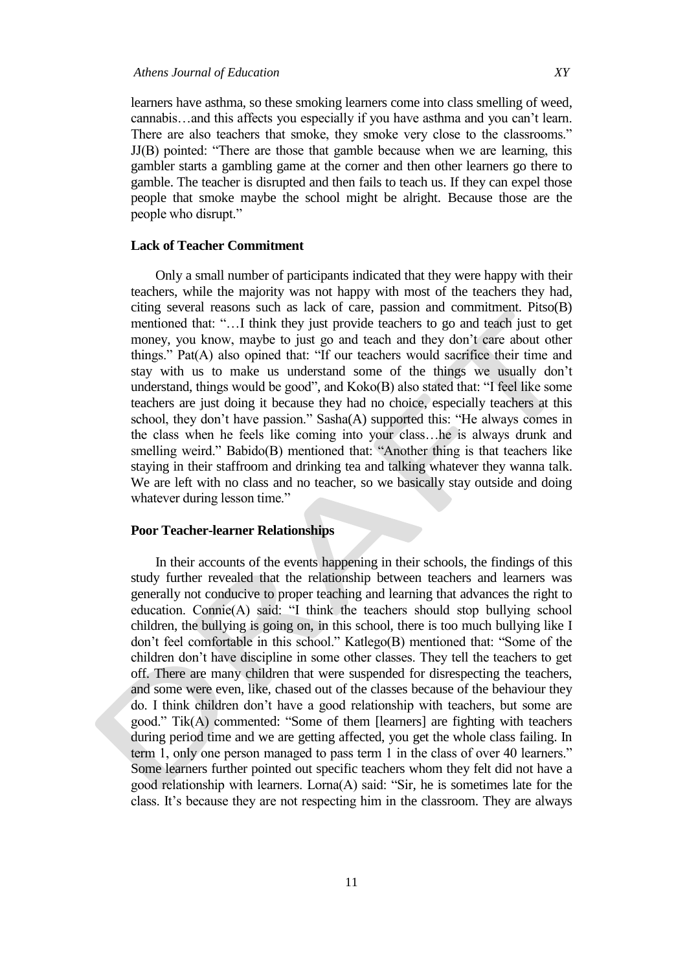learners have asthma, so these smoking learners come into class smelling of weed, cannabis...and this affects you especially if you have asthma and you can't learn. There are also teachers that smoke, they smoke very close to the classrooms." JJ(B) pointed: "There are those that gamble because when we are learning, this gambler starts a gambling game at the corner and then other learners go there to gamble. The teacher is disrupted and then fails to teach us. If they can expel those people that smoke maybe the school might be alright. Because those are the people who disrupt."

# **Lack of Teacher Commitment**

Only a small number of participants indicated that they were happy with their teachers, while the majority was not happy with most of the teachers they had, citing several reasons such as lack of care, passion and commitment. Pitso(B) mentioned that: "…I think they just provide teachers to go and teach just to get money, you know, maybe to just go and teach and they don't care about other things." Pat(A) also opined that: "If our teachers would sacrifice their time and stay with us to make us understand some of the things we usually don"t understand, things would be good", and Koko(B) also stated that: "I feel like some teachers are just doing it because they had no choice, especially teachers at this school, they don"t have passion." Sasha(A) supported this: "He always comes in the class when he feels like coming into your class…he is always drunk and smelling weird." Babido(B) mentioned that: "Another thing is that teachers like staying in their staffroom and drinking tea and talking whatever they wanna talk. We are left with no class and no teacher, so we basically stay outside and doing whatever during lesson time."

#### **Poor Teacher-learner Relationships**

In their accounts of the events happening in their schools, the findings of this study further revealed that the relationship between teachers and learners was generally not conducive to proper teaching and learning that advances the right to education. Connie(A) said: "I think the teachers should stop bullying school children, the bullying is going on, in this school, there is too much bullying like I don"t feel comfortable in this school." Katlego(B) mentioned that: "Some of the children don"t have discipline in some other classes. They tell the teachers to get off. There are many children that were suspended for disrespecting the teachers, and some were even, like, chased out of the classes because of the behaviour they do. I think children don"t have a good relationship with teachers, but some are good." Tik(A) commented: "Some of them [learners] are fighting with teachers during period time and we are getting affected, you get the whole class failing. In term 1, only one person managed to pass term 1 in the class of over 40 learners." Some learners further pointed out specific teachers whom they felt did not have a good relationship with learners. Lorna(A) said: "Sir*,* he is sometimes late for the class. It's because they are not respecting him in the classroom. They are always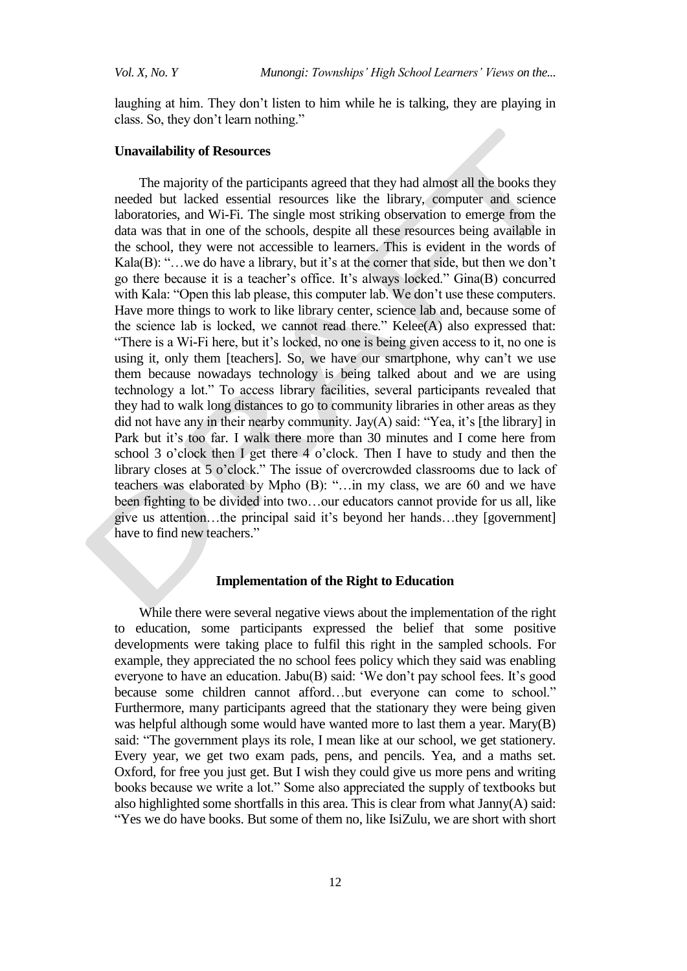laughing at him. They don't listen to him while he is talking, they are playing in class. So, they don"t learn nothing."

### **Unavailability of Resources**

The majority of the participants agreed that they had almost all the books they needed but lacked essential resources like the library, computer and science laboratories, and Wi-Fi. The single most striking observation to emerge from the data was that in one of the schools, despite all these resources being available in the school, they were not accessible to learners. This is evident in the words of Kala $(B)$ : "...we do have a library, but it's at the corner that side, but then we don't go there because it is a teacher's office. It's always locked." Gina(B) concurred with Kala: "Open this lab please, this computer lab. We don't use these computers. Have more things to work to like library center, science lab and, because some of the science lab is locked, we cannot read there." Kelee(A) also expressed that: "There is a Wi-Fi here, but it"s locked, no one is being given access to it, no one is using it, only them [teachers]. So, we have our smartphone, why can't we use them because nowadays technology is being talked about and we are using technology a lot." To access library facilities, several participants revealed that they had to walk long distances to go to community libraries in other areas as they did not have any in their nearby community. Jay $(A)$  said: "Yea, it's [the library] in Park but it's too far. I walk there more than 30 minutes and I come here from school 3 o"clock then I get there 4 o"clock. Then I have to study and then the library closes at 5 o'clock." The issue of overcrowded classrooms due to lack of teachers was elaborated by Mpho (B): "…in my class, we are 60 and we have been fighting to be divided into two…our educators cannot provide for us all, like give us attention…the principal said it"s beyond her hands…they [government] have to find new teachers."

# **Implementation of the Right to Education**

While there were several negative views about the implementation of the right to education, some participants expressed the belief that some positive developments were taking place to fulfil this right in the sampled schools. For example, they appreciated the no school fees policy which they said was enabling everyone to have an education. Jabu(B) said: 'We don't pay school fees. It's good because some children cannot afford…but everyone can come to school." Furthermore, many participants agreed that the stationary they were being given was helpful although some would have wanted more to last them a year. Mary(B) said: "The government plays its role, I mean like at our school, we get stationery. Every year, we get two exam pads, pens, and pencils. Yea, and a maths set. Oxford, for free you just get. But I wish they could give us more pens and writing books because we write a lot." Some also appreciated the supply of textbooks but also highlighted some shortfalls in this area. This is clear from what Janny(A) said: "Yes we do have books. But some of them no, like IsiZulu, we are short with short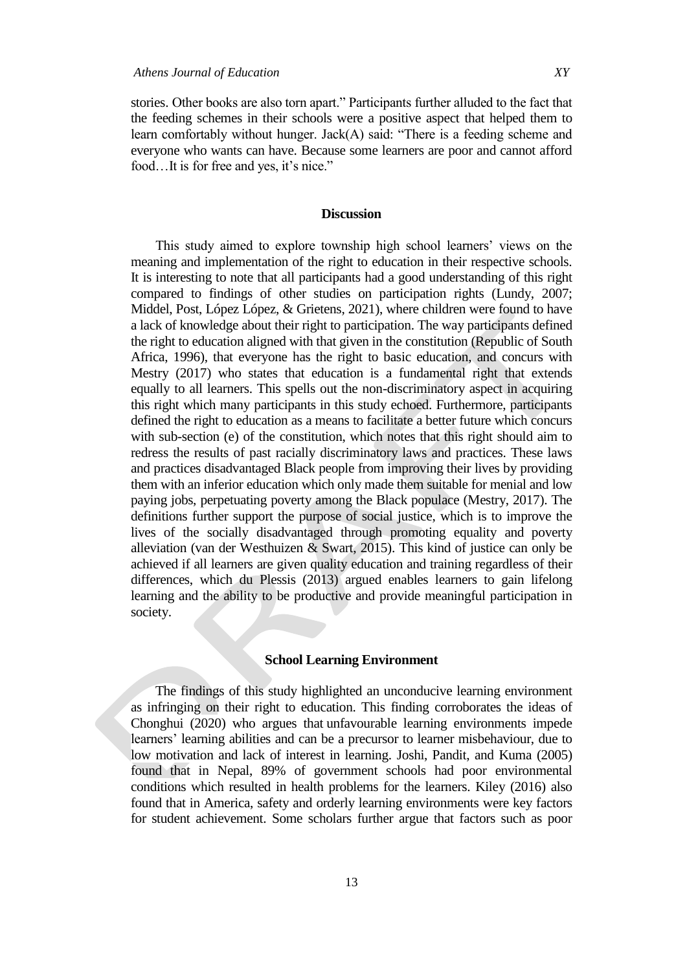stories. Other books are also torn apart." Participants further alluded to the fact that the feeding schemes in their schools were a positive aspect that helped them to learn comfortably without hunger. Jack(A) said: "There is a feeding scheme and everyone who wants can have. Because some learners are poor and cannot afford food...It is for free and yes, it's nice."

# **Discussion**

This study aimed to explore township high school learners" views on the meaning and implementation of the right to education in their respective schools. It is interesting to note that all participants had a good understanding of this right compared to findings of other studies on participation rights (Lundy, 2007; Middel, Post, López López, & Grietens, 2021), where children were found to have a lack of knowledge about their right to participation. The way participants defined the right to education aligned with that given in the constitution (Republic of South Africa, 1996), that everyone has the right to basic education, and concurs with Mestry (2017) who states that education is a fundamental right that extends equally to all learners. This spells out the non-discriminatory aspect in acquiring this right which many participants in this study echoed. Furthermore, participants defined the right to education as a means to facilitate a better future which concurs with sub-section (e) of the constitution, which notes that this right should aim to redress the results of past racially discriminatory laws and practices. These laws and practices disadvantaged Black people from improving their lives by providing them with an inferior education which only made them suitable for menial and low paying jobs, perpetuating poverty among the Black populace (Mestry, 2017). The definitions further support the purpose of social justice, which is to improve the lives of the socially disadvantaged through promoting equality and poverty alleviation (van der Westhuizen & Swart, 2015). This kind of justice can only be achieved if all learners are given quality education and training regardless of their differences, which du Plessis (2013) argued enables learners to gain lifelong learning and the ability to be productive and provide meaningful participation in society.

#### **School Learning Environment**

The findings of this study highlighted an unconducive learning environment as infringing on their right to education. This finding corroborates the ideas of Chonghui (2020) who argues that unfavourable learning environments impede learners' learning abilities and can be a precursor to learner misbehaviour, due to low motivation and lack of interest in learning. Joshi, Pandit, and Kuma (2005) found that in Nepal, 89% of government schools had poor environmental conditions which resulted in health problems for the learners. Kiley (2016) also found that in America, safety and orderly learning environments were key factors for student achievement. Some scholars further argue that factors such as poor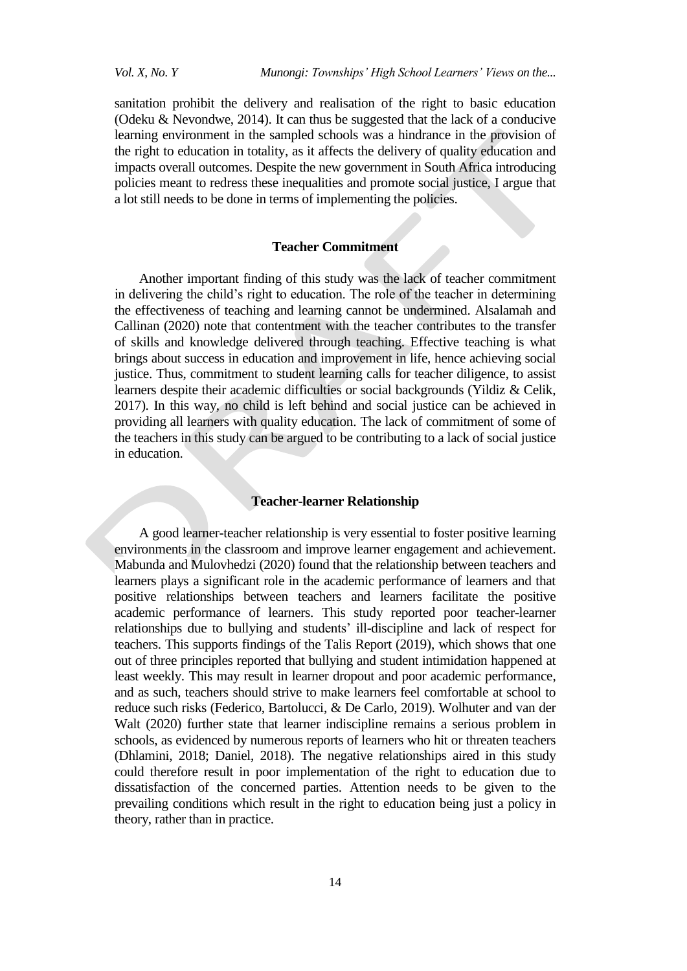sanitation prohibit the delivery and realisation of the right to basic education (Odeku & Nevondwe, 2014). It can thus be suggested that the lack of a conducive learning environment in the sampled schools was a hindrance in the provision of the right to education in totality, as it affects the delivery of quality education and impacts overall outcomes. Despite the new government in South Africa introducing policies meant to redress these inequalities and promote social justice, I argue that a lot still needs to be done in terms of implementing the policies.

# **Teacher Commitment**

Another important finding of this study was the lack of teacher commitment in delivering the child"s right to education. The role of the teacher in determining the effectiveness of teaching and learning cannot be undermined. Alsalamah and Callinan (2020) note that contentment with the teacher contributes to the transfer of skills and knowledge delivered through teaching. Effective teaching is what brings about success in education and improvement in life, hence achieving social justice. Thus, commitment to student learning calls for teacher diligence, to assist learners despite their academic difficulties or social backgrounds (Yildiz & Celik, 2017). In this way, no child is left behind and social justice can be achieved in providing all learners with quality education. The lack of commitment of some of the teachers in this study can be argued to be contributing to a lack of social justice in education.

# **Teacher-learner Relationship**

A good learner-teacher relationship is very essential to foster positive learning environments in the classroom and improve learner engagement and achievement. Mabunda and Mulovhedzi (2020) found that the relationship between teachers and learners plays a significant role in the academic performance of learners and that positive relationships between teachers and learners facilitate the positive academic performance of learners. This study reported poor teacher-learner relationships due to bullying and students" ill-discipline and lack of respect for teachers. This supports findings of the Talis Report (2019), which shows that one out of three principles reported that bullying and student intimidation happened at least weekly. This may result in learner dropout and poor academic performance, and as such, teachers should strive to make learners feel comfortable at school to reduce such risks (Federico, Bartolucci, & De Carlo, 2019). Wolhuter and van der Walt (2020) further state that learner indiscipline remains a serious problem in schools, as evidenced by numerous reports of learners who hit or threaten teachers (Dhlamini, 2018; Daniel, 2018). The negative relationships aired in this study could therefore result in poor implementation of the right to education due to dissatisfaction of the concerned parties. Attention needs to be given to the prevailing conditions which result in the right to education being just a policy in theory, rather than in practice.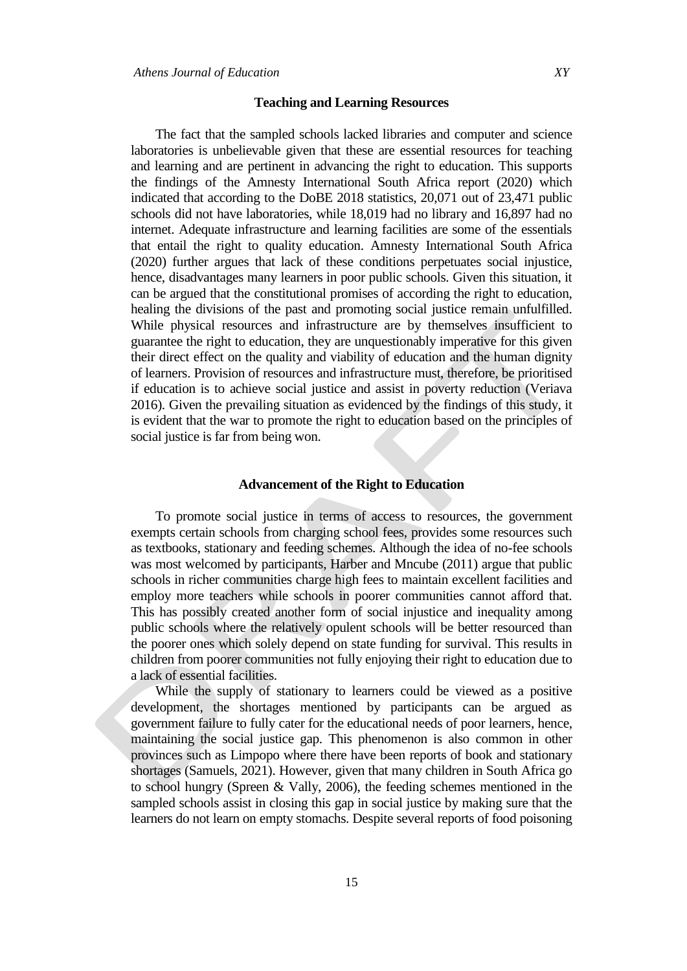#### **Teaching and Learning Resources**

The fact that the sampled schools lacked libraries and computer and science laboratories is unbelievable given that these are essential resources for teaching and learning and are pertinent in advancing the right to education. This supports the findings of the Amnesty International South Africa report (2020) which indicated that according to the DoBE 2018 statistics, 20,071 out of 23,471 public schools did not have laboratories, while 18,019 had no library and 16,897 had no internet. Adequate infrastructure and learning facilities are some of the essentials that entail the right to quality education. Amnesty International South Africa (2020) further argues that lack of these conditions perpetuates social injustice, hence, disadvantages many learners in poor public schools. Given this situation, it can be argued that the constitutional promises of according the right to education, healing the divisions of the past and promoting social justice remain unfulfilled. While physical resources and infrastructure are by themselves insufficient to guarantee the right to education, they are unquestionably imperative for this given their direct effect on the quality and viability of education and the human dignity of learners. Provision of resources and infrastructure must, therefore, be prioritised if education is to achieve social justice and assist in poverty reduction (Veriava 2016). Given the prevailing situation as evidenced by the findings of this study, it is evident that the war to promote the right to education based on the principles of social justice is far from being won.

# **Advancement of the Right to Education**

To promote social justice in terms of access to resources, the government exempts certain schools from charging school fees, provides some resources such as textbooks, stationary and feeding schemes. Although the idea of no-fee schools was most welcomed by participants, Harber and Mncube (2011) argue that public schools in richer communities charge high fees to maintain excellent facilities and employ more teachers while schools in poorer communities cannot afford that. This has possibly created another form of social injustice and inequality among public schools where the relatively opulent schools will be better resourced than the poorer ones which solely depend on state funding for survival. This results in children from poorer communities not fully enjoying their right to education due to a lack of essential facilities.

While the supply of stationary to learners could be viewed as a positive development, the shortages mentioned by participants can be argued as government failure to fully cater for the educational needs of poor learners, hence, maintaining the social justice gap. This phenomenon is also common in other provinces such as Limpopo where there have been reports of book and stationary shortages (Samuels, 2021). However, given that many children in South Africa go to school hungry (Spreen & Vally, 2006), the feeding schemes mentioned in the sampled schools assist in closing this gap in social justice by making sure that the learners do not learn on empty stomachs. Despite several reports of food poisoning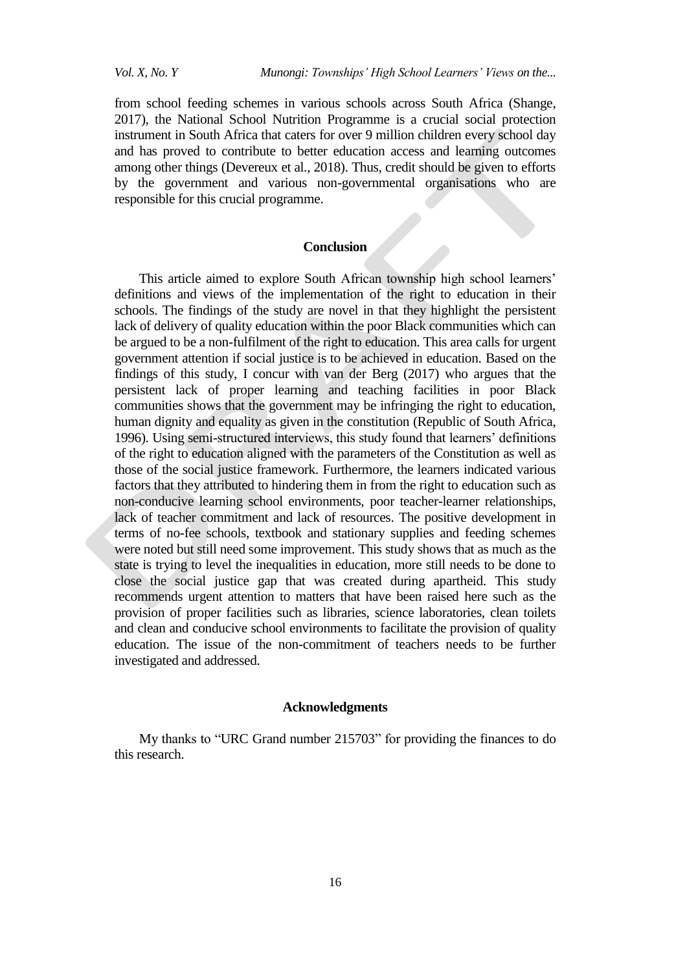from school feeding schemes in various schools across South Africa (Shange, 2017), the National School Nutrition Programme is a crucial social protection instrument in South Africa that caters for over 9 million children every school day and has proved to contribute to better education access and learning outcomes among other things (Devereux et al., 2018). Thus, credit should be given to efforts by the government and various non-governmental organisations who are responsible for this crucial programme.

# **Conclusion**

This article aimed to explore South African township high school learners' definitions and views of the implementation of the right to education in their schools. The findings of the study are novel in that they highlight the persistent lack of delivery of quality education within the poor Black communities which can be argued to be a non-fulfilment of the right to education. This area calls for urgent government attention if social justice is to be achieved in education. Based on the findings of this study, I concur with van der Berg (2017) who argues that the persistent lack of proper learning and teaching facilities in poor Black communities shows that the government may be infringing the right to education, human dignity and equality as given in the constitution (Republic of South Africa, 1996). Using semi-structured interviews, this study found that learners' definitions of the right to education aligned with the parameters of the Constitution as well as those of the social justice framework. Furthermore, the learners indicated various factors that they attributed to hindering them in from the right to education such as non-conducive learning school environments, poor teacher-learner relationships, lack of teacher commitment and lack of resources. The positive development in terms of no-fee schools, textbook and stationary supplies and feeding schemes were noted but still need some improvement. This study shows that as much as the state is trying to level the inequalities in education, more still needs to be done to close the social justice gap that was created during apartheid. This study recommends urgent attention to matters that have been raised here such as the provision of proper facilities such as libraries, science laboratories, clean toilets and clean and conducive school environments to facilitate the provision of quality education. The issue of the non-commitment of teachers needs to be further investigated and addressed.

#### **Acknowledgments**

My thanks to "URC Grand number 215703" for providing the finances to do this research.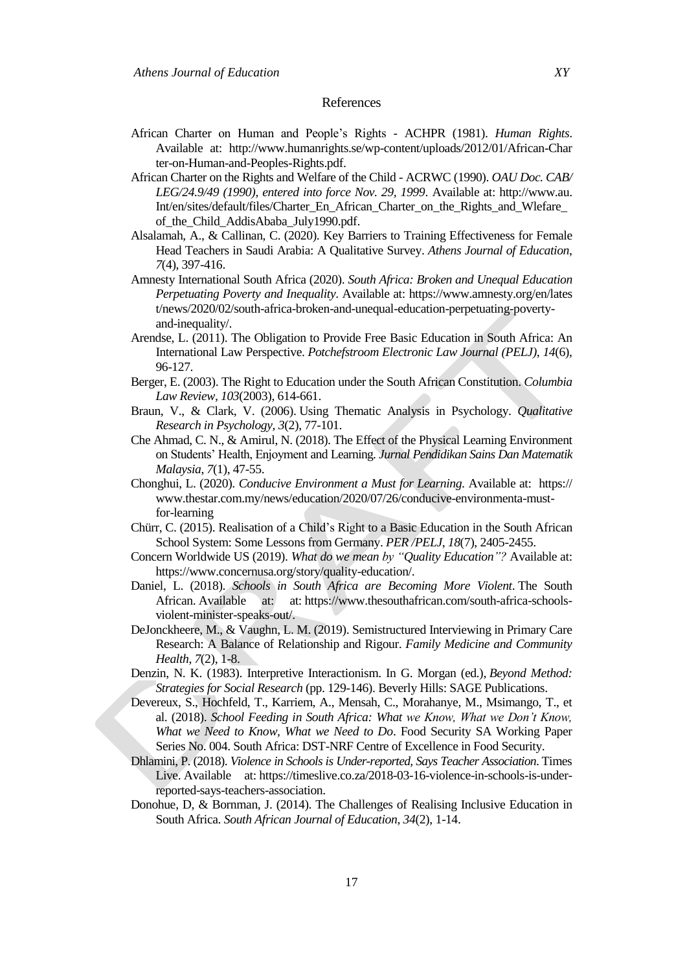### References

- African Charter on Human and People"s Rights ACHPR (1981). *Human Rights*. Available at: http://www.humanrights.se/wp-content/uploads/2012/01/African-Char ter-on-Human-and-Peoples-Rights.pdf.
- African Charter on the Rights and Welfare of the Child ACRWC (1990). *OAU Doc. CAB/ LEG/24.9/49 (1990), entered into force Nov. 29, 1999*. Available at: http://www.au. Int/en/sites/default/files/Charter\_En\_African\_Charter\_on\_the\_Rights\_and\_Wlefare\_ of\_the\_Child\_AddisAbaba\_July1990.pdf.
- Alsalamah, A., & Callinan, C. (2020). Key Barriers to Training Effectiveness for Female Head Teachers in Saudi Arabia: A Qualitative Survey. *Athens Journal of Education*, *7*(4), 397-416.
- Amnesty International South Africa (2020). *South Africa: Broken and Unequal Education Perpetuating Poverty and Inequality*. Available at: https://www.amnesty.org/en/lates t/news/2020/02/south-africa-broken-and-unequal-education-perpetuating-povertyand-inequality/.
- Arendse, L. (2011). The Obligation to Provide Free Basic Education in South Africa: An International Law Perspective. *Potchefstroom Electronic Law Journal (PELJ)*, *14*(6), 96-127.
- Berger, E. (2003). The Right to Education under the South African Constitution. *Columbia Law Review, 103*(2003), 614-661.
- Braun, V., & Clark, V. (2006). Using Thematic Analysis in Psychology. *Qualitative Research in Psychology, 3*(2), 77-101.
- Che Ahmad, C. N., & Amirul, N. (2018). The Effect of the Physical Learning Environment on Students" Health, Enjoyment and Learning. *Jurnal Pendidikan Sains Dan Matematik Malaysia*, *7*(1), 47-55.
- [Chonghui,](https://www.thestar.com.my/authors?q=LEE+CHONGHUI) L. (2020). *Conducive Environment a Must for Learning*. Available at: https:// www.thestar.com.my/news/education/2020/07/26/conducive-environmenta-mustfor-learning
- Chürr, C. (2015). Realisation of a Child"s Right to a Basic Education in the South African School System: Some Lessons from Germany. *PER /PELJ*, *18*(7), 2405-2455.
- Concern Worldwide US (2019). *What do we mean by "Quality Education"?* Available at: [https://www.concernusa.org/story/quality-education/.](https://www.concernusa.org/story/quality-education/)
- Daniel, L. (2018). *Schools in South Africa are Becoming More Violent*. The South African. Available at: at: [https://www.thesouthafrican.com/south-africa-schools](https://www.thesouthafrican.com/south-africa-schools-violent-minister-speaks-out/)[violent-minister-speaks-out/.](https://www.thesouthafrican.com/south-africa-schools-violent-minister-speaks-out/)
- DeJonckheere, M., & Vaughn, L. M. (2019). Semistructured Interviewing in Primary Care Research: A Balance of Relationship and Rigour. *Family Medicine and Community Health*, *7*(2), 1-8.
- Denzin, N. K. (1983). Interpretive Interactionism. In G. Morgan (ed.), *Beyond Method: Strategies for Social Research* (pp. 129-146). Beverly Hills: SAGE Publications.
- Devereux, S., Hochfeld, T., Karriem, A., Mensah, C., Morahanye, M., Msimango, T., et al. (2018). *School Feeding in South Africa: What we Know, What we Don't Know, What we Need to Know, What we Need to Do*. Food Security SA Working Paper Series No. 004. South Africa: DST-NRF Centre of Excellence in Food Security.
- Dhlamini, P. (2018). *Violence in Schools is Under-reported, Says Teacher Association*. Times Live. Available at: [https://timeslive.co.za/2018-03-16-violence-in-schools-is-under](https://timeslive.co.za/2018-03-16-violence-in-schools-is-under-reported-says-teachers-association)[reported-says-teachers-association.](https://timeslive.co.za/2018-03-16-violence-in-schools-is-under-reported-says-teachers-association)
- Donohue, D, & Bornman, J. (2014). The Challenges of Realising Inclusive Education in South Africa. *South African Journal of Education*, *34*(2), 1-14.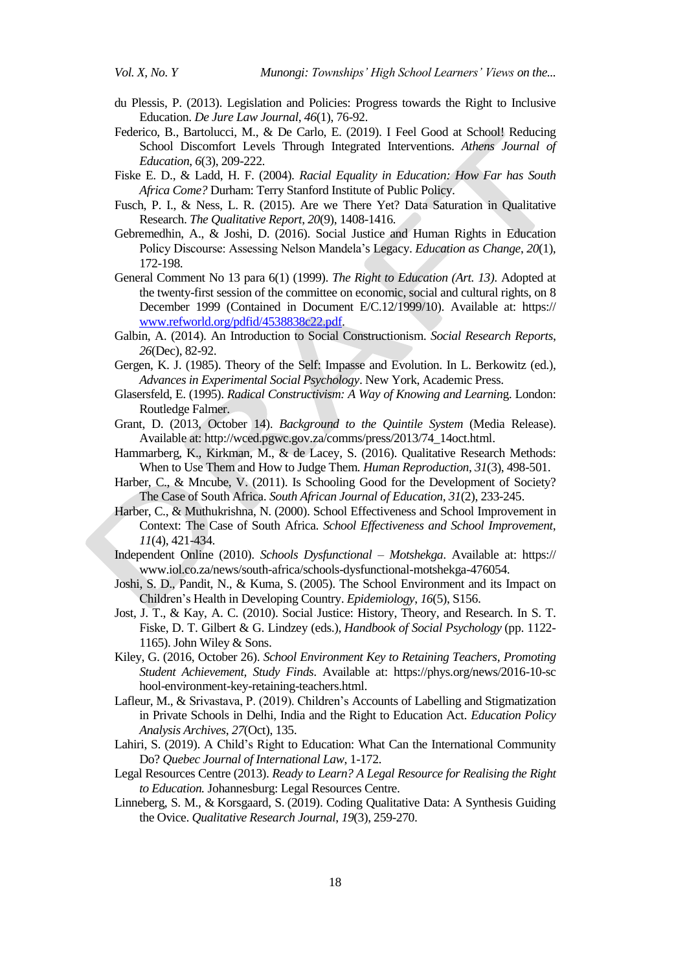- du Plessis, P. (2013). Legislation and Policies: Progress towards the Right to Inclusive Education. *De Jure Law Journal*, *46*(1), 76-92.
- Federico, B., Bartolucci, M., & De Carlo, E. (2019). I Feel Good at School! Reducing School Discomfort Levels Through Integrated Interventions. *Athens Journal of Education*, *6*(3), 209-222.
- Fiske E. D., & Ladd, H. F. (2004). *Racial Equality in Education: How Far has South Africa Come?* Durham: Terry Stanford Institute of Public Policy.
- Fusch, P. I., & Ness, L. R. (2015). Are we There Yet? Data Saturation in Qualitative Research. *The Qualitative Report*, *20*(9), 1408-1416.
- Gebremedhin, A., & Joshi, D. (2016). Social Justice and Human Rights in Education Policy Discourse: Assessing Nelson Mandela"s Legacy. *Education as Change*, *20*(1), 172-198.
- General Comment No 13 para 6(1) (1999). *The Right to Education (Art. 13)*. Adopted at the twenty-first session of the committee on economic, social and cultural rights, on 8 December 1999 (Contained in Document E/C.12/1999/10). Available at: https:// [www.refworld.org/pdfid/4538838c22.pdf.](http://www.refworld.org/pdfid/4538838c22.pdf)
- Galbin, A. (2014). An Introduction to Social Constructionism. *Social Research Reports*, *26*(Dec), 82-92.
- Gergen, K. J. (1985). Theory of the Self: Impasse and Evolution. In L. Berkowitz (ed.), *Advances in Experimental Social Psychology*. New York, Academic Press.
- Glasersfeld, E. (1995). *Radical Constructivism: A Way of Knowing and Learnin*g. London: Routledge Falmer.
- Grant, D. (2013, October 14). *Background to the Quintile System* (Media Release). Available at: [http://wced.pgwc.gov.za/comms/press/2013/74\\_14oct.html.](http://wced.pgwc.gov.za/comms/press/2013/74_14oct.html)
- Hammarberg, K., Kirkman, M., & de Lacey, S. (2016). Qualitative Research Methods: When to Use Them and How to Judge Them*. Human Reproduction*, *31*(3), 498-501.
- Harber, C., & Mncube, V. (2011). Is Schooling Good for the Development of Society? The Case of South Africa. *South African Journal of Education*, *31*(2), 233-245.
- Harber, C., & Muthukrishna, N. (2000). School Effectiveness and School Improvement in Context: The Case of South Africa. *School Effectiveness and School Improvement*, *11*(4), 421-434.
- Independent Online (2010). *Schools Dysfunctional – Motshekga*. Available at: https:// [www.iol.co.za/news/south-africa/schools-dysfunctional-motshekga-476054.](http://www.iol.co.za/news/south-africa/schools-dysfunctional-motshekga-476054)
- Joshi, S. D., Pandit, N., & Kuma, S. (2005). The School Environment and its Impact on Children"s Health in Developing Country. *Epidemiology*, *16*(5), S156.
- Jost, J. T., & Kay, A. C. (2010). Social Justice: History, Theory, and Research. In S. T. Fiske, D. T. Gilbert & G. Lindzey (eds.), *Handbook of Social Psychology* (pp. 1122- 1165). John Wiley & Sons.
- Kiley, G. (2016, October 26). *School Environment Key to Retaining Teachers, Promoting Student Achievement, Study Finds*. Available at: https://phys.org/news/2016-10-sc hool-environment-key-retaining-teachers.html.
- Lafleur, M., & Srivastava, P. (2019). Children"s Accounts of Labelling and Stigmatization in Private Schools in Delhi, India and the Right to Education Act. *Education Policy Analysis Archives*, *27*(Oct), 135.
- Lahiri, S. (2019). A Child"s Right to Education: What Can the International Community Do? *Quebec Journal of International Law*, 1-172.
- Legal Resources Centre (2013). *Ready to Learn? A Legal Resource for Realising the Right to Education.* Johannesburg: Legal Resources Centre.
- [Linneberg, S. M.,](https://www.emerald.com/insight/search?q=Mai%20Skjott%20Linneberg) & [Korsgaard, S.](https://www.emerald.com/insight/search?q=Steffen%20Korsgaard) (2019). Coding Qualitative Data: A Synthesis Guiding the Ovice. *[Qualitative Research Journal](https://www.emerald.com/insight/publication/issn/1443-9883)*, *19*(3), 259-270.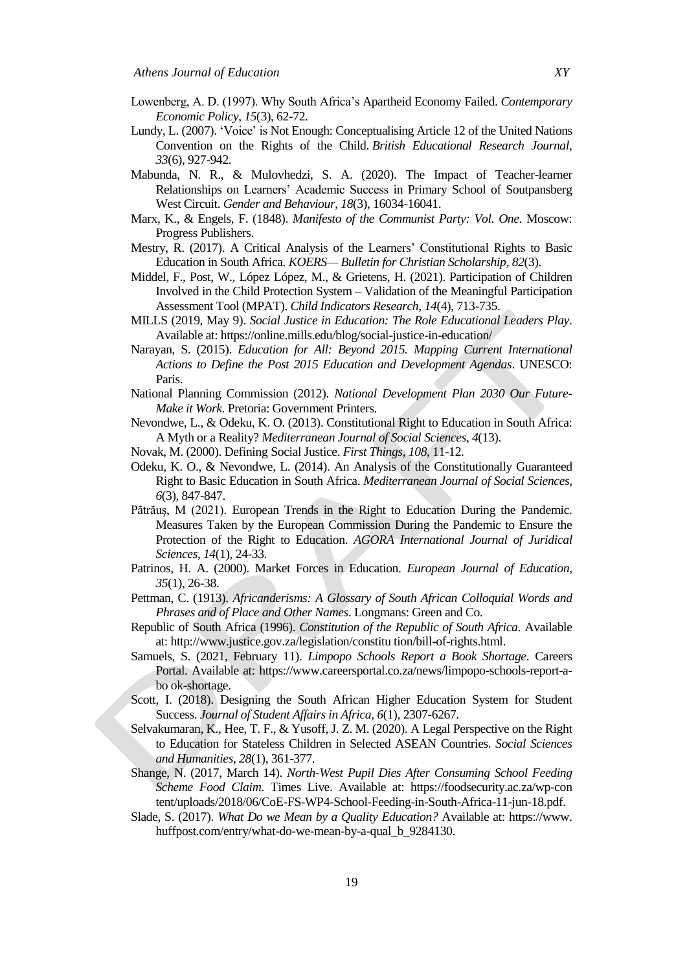- Lowenberg, A. D. (1997). Why South Africa"s Apartheid Economy Failed. *Contemporary Economic Policy*, *15*(3), 62-72.
- Lundy, L. (2007). "Voice" is Not Enough: Conceptualising Article 12 of the United Nations Convention on the Rights of the Child. *British Educational Research Journal*, *33*(6), 927-942.
- Mabunda, N. R., & Mulovhedzi, S. A. (2020). The Impact of Teacher-learner Relationships on Learners" Academic Success in Primary School of Soutpansberg West Circuit. *Gender and Behaviour*, *18*(3), 16034-16041.
- Marx, K., & Engels, F. (1848). *Manifesto of the Communist Party: Vol. One*. Moscow: Progress Publishers.
- Mestry, R. (2017). A Critical Analysis of the Learners' Constitutional Rights to Basic Education in South Africa. *KOERS— Bulletin for Christian Scholarship*, *82*(3).
- Middel, F., Post, W., López López, M., & Grietens, H. (2021). Participation of Children Involved in the Child Protection System – Validation of the Meaningful Participation Assessment Tool (MPAT). *Child Indicators Research*, *14*(4), 713-735.
- MILLS (2019, May 9). *Social Justice in Education: The Role Educational Leaders Play*. Available at: https://online.mills.edu/blog/social-justice-in-education/
- Narayan, S. (2015). *Education for All: Beyond 2015. Mapping Current International Actions to Define the Post 2015 Education and Development Agendas*. UNESCO: Paris.
- National Planning Commission (2012). *National Development Plan 2030 Our Future-Make it Work*. Pretoria: Government Printers.
- Nevondwe, L., & Odeku, K. O. (2013). Constitutional Right to Education in South Africa: A Myth or a Reality? *Mediterranean Journal of Social Sciences*, *4*(13).
- Novak, M. (2000). Defining Social Justice. *First Things*, *108*, 11-12.
- Odeku, K. O., & Nevondwe, L. (2014). An Analysis of the Constitutionally Guaranteed Right to Basic Education in South Africa. *Mediterranean Journal of Social Sciences, 6*(3), 847-847.
- Pătrăuş, M (2021). European Trends in the Right to Education During the Pandemic. Measures Taken by the European Commission During the Pandemic to Ensure the Protection of the Right to Education. *AGORA International Journal of Juridical Sciences*, *14*(1), 24-33.
- Patrinos, H. A. (2000). Market Forces in Education. *European Journal of Education*, *35*(1), 26-38.
- Pettman, C. (1913). *Africanderisms: A Glossary of South African Colloquial Words and Phrases and of Place and Other Names*. Longmans: Green and Co.
- Republic of South Africa (1996). *Constitution of the Republic of South Africa*. Available at: http://www.justice.gov.za/legislation/constitu tion/bill-of-rights.html.
- [Samuels,](https://www.careersportal.co.za/author/sakinah-samuels) S. (2021, February 11). *Limpopo Schools Report a Book Shortage*. Careers Portal. Available at: https://www.careersportal.co.za/news/limpopo-schools-report-abo ok-shortage.
- Scott, I. (2018). Designing the South African Higher Education System for Student Success. *Journal of Student Affairs in Africa*, *6*(1), 2307-6267.
- Selvakumaran, K., Hee, T. F., & Yusoff, J. Z. M. (2020). A Legal Perspective on the Right to Education for Stateless Children in Selected ASEAN Countries. *Social Sciences and Humanities*, *28*(1), 361-377.
- Shange, N. (2017, March 14). *North-West Pupil Dies After Consuming School Feeding Scheme Food Claim*. Times Live. Available at: https://foodsecurity.ac.za/wp-con tent/uploads/2018/06/CoE-FS-WP4-School-Feeding-in-South-Africa-11-jun-18.pdf.
- Slade, S. (2017). *What Do we Mean by a Quality Education?* Available at: https://www. huffpost.com/entry/what-do-we-mean-by-a-qual\_b\_9284130.